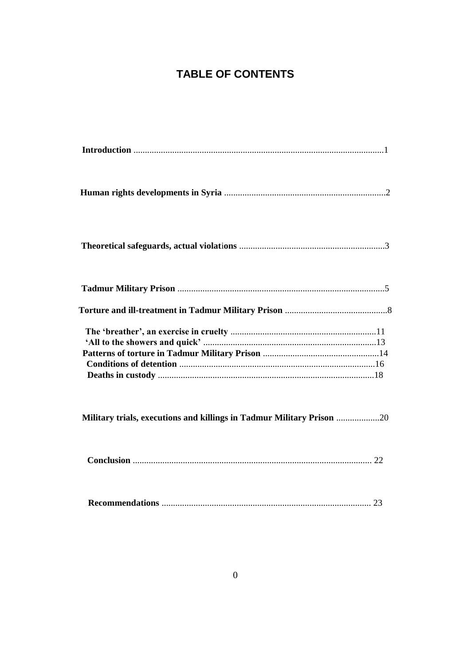# **TABLE OF CONTENTS**

| Military trials, executions and killings in Tadmur Military Prison |  |
|--------------------------------------------------------------------|--|
|                                                                    |  |
|                                                                    |  |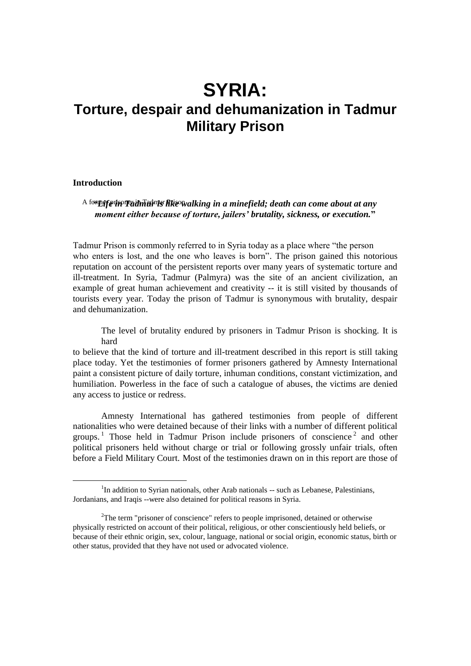# **SYRIA: Torture, despair and dehumanization in Tadmur Military Prison**

# **Introduction**

 $\overline{a}$ 

<sup>A for</sup>teff win Tadmur Riewalking in a minefield; death can come about at any *moment either because of torture, jailers' brutality, sickness, or execution.***"**

Tadmur Prison is commonly referred to in Syria today as a place where "the person who enters is lost, and the one who leaves is born". The prison gained this notorious reputation on account of the persistent reports over many years of systematic torture and ill-treatment. In Syria, Tadmur (Palmyra) was the site of an ancient civilization, an example of great human achievement and creativity -- it is still visited by thousands of tourists every year. Today the prison of Tadmur is synonymous with brutality, despair and dehumanization.

The level of brutality endured by prisoners in Tadmur Prison is shocking. It is hard

to believe that the kind of torture and ill-treatment described in this report is still taking place today. Yet the testimonies of former prisoners gathered by Amnesty International paint a consistent picture of daily torture, inhuman conditions, constant victimization, and humiliation. Powerless in the face of such a catalogue of abuses, the victims are denied any access to justice or redress.

Amnesty International has gathered testimonies from people of different nationalities who were detained because of their links with a number of different political groups.<sup>1</sup> Those held in Tadmur Prison include prisoners of conscience<sup>2</sup> and other political prisoners held without charge or trial or following grossly unfair trials, often before a Field Military Court. Most of the testimonies drawn on in this report are those of

<sup>&</sup>lt;sup>1</sup>In addition to Syrian nationals, other Arab nationals -- such as Lebanese, Palestinians, Jordanians, and Iraqis --were also detained for political reasons in Syria.

<sup>&</sup>lt;sup>2</sup>The term "prisoner of conscience" refers to people imprisoned, detained or otherwise physically restricted on account of their political, religious, or other conscientiously held beliefs, or because of their ethnic origin, sex, colour, language, national or social origin, economic status, birth or other status, provided that they have not used or advocated violence.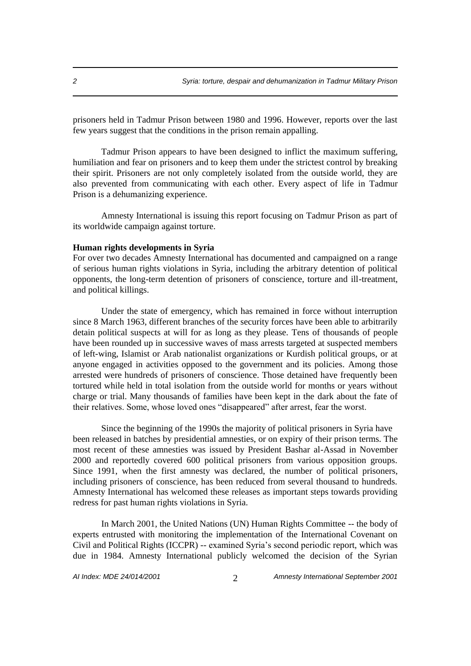prisoners held in Tadmur Prison between 1980 and 1996. However, reports over the last few years suggest that the conditions in the prison remain appalling.

Tadmur Prison appears to have been designed to inflict the maximum suffering, humiliation and fear on prisoners and to keep them under the strictest control by breaking their spirit. Prisoners are not only completely isolated from the outside world, they are also prevented from communicating with each other. Every aspect of life in Tadmur Prison is a dehumanizing experience.

Amnesty International is issuing this report focusing on Tadmur Prison as part of its worldwide campaign against torture.

## **Human rights developments in Syria**

For over two decades Amnesty International has documented and campaigned on a range of serious human rights violations in Syria, including the arbitrary detention of political opponents, the long-term detention of prisoners of conscience, torture and ill-treatment, and political killings.

Under the state of emergency, which has remained in force without interruption since 8 March 1963, different branches of the security forces have been able to arbitrarily detain political suspects at will for as long as they please. Tens of thousands of people have been rounded up in successive waves of mass arrests targeted at suspected members of left-wing, Islamist or Arab nationalist organizations or Kurdish political groups, or at anyone engaged in activities opposed to the government and its policies. Among those arrested were hundreds of prisoners of conscience. Those detained have frequently been tortured while held in total isolation from the outside world for months or years without charge or trial. Many thousands of families have been kept in the dark about the fate of their relatives. Some, whose loved ones "disappeared" after arrest, fear the worst.

Since the beginning of the 1990s the majority of political prisoners in Syria have been released in batches by presidential amnesties, or on expiry of their prison terms. The most recent of these amnesties was issued by President Bashar al-Assad in November 2000 and reportedly covered 600 political prisoners from various opposition groups. Since 1991, when the first amnesty was declared, the number of political prisoners, including prisoners of conscience, has been reduced from several thousand to hundreds. Amnesty International has welcomed these releases as important steps towards providing redress for past human rights violations in Syria.

In March 2001, the United Nations (UN) Human Rights Committee -- the body of experts entrusted with monitoring the implementation of the International Covenant on Civil and Political Rights (ICCPR) -- examined Syria's second periodic report, which was due in 1984. Amnesty International publicly welcomed the decision of the Syrian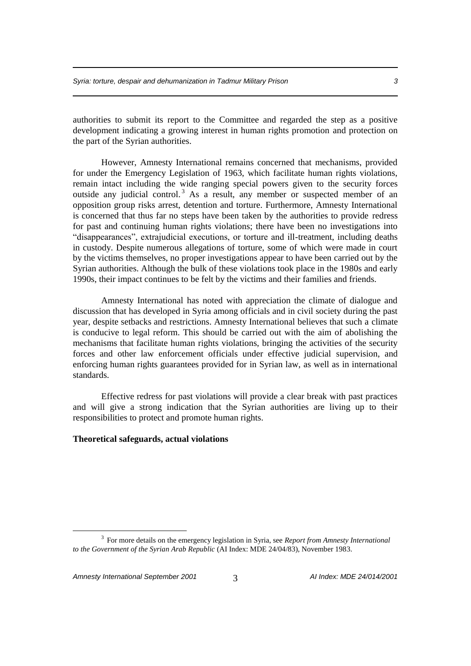authorities to submit its report to the Committee and regarded the step as a positive development indicating a growing interest in human rights promotion and protection on the part of the Syrian authorities.

However, Amnesty International remains concerned that mechanisms, provided for under the Emergency Legislation of 1963, which facilitate human rights violations, remain intact including the wide ranging special powers given to the security forces outside any judicial control.<sup>3</sup> As a result, any member or suspected member of an opposition group risks arrest, detention and torture. Furthermore, Amnesty International is concerned that thus far no steps have been taken by the authorities to provide redress for past and continuing human rights violations; there have been no investigations into "disappearances", extrajudicial executions, or torture and ill-treatment, including deaths in custody. Despite numerous allegations of torture, some of which were made in court by the victims themselves, no proper investigations appear to have been carried out by the Syrian authorities. Although the bulk of these violations took place in the 1980s and early 1990s, their impact continues to be felt by the victims and their families and friends.

Amnesty International has noted with appreciation the climate of dialogue and discussion that has developed in Syria among officials and in civil society during the past year, despite setbacks and restrictions. Amnesty International believes that such a climate is conducive to legal reform. This should be carried out with the aim of abolishing the mechanisms that facilitate human rights violations, bringing the activities of the security forces and other law enforcement officials under effective judicial supervision, and enforcing human rights guarantees provided for in Syrian law, as well as in international standards.

Effective redress for past violations will provide a clear break with past practices and will give a strong indication that the Syrian authorities are living up to their responsibilities to protect and promote human rights.

# **Theoretical safeguards, actual violations**

<sup>3</sup> For more details on the emergency legislation in Syria, see *Report from Amnesty International to the Government of the Syrian Arab Republic* (AI Index: MDE 24/04/83), November 1983.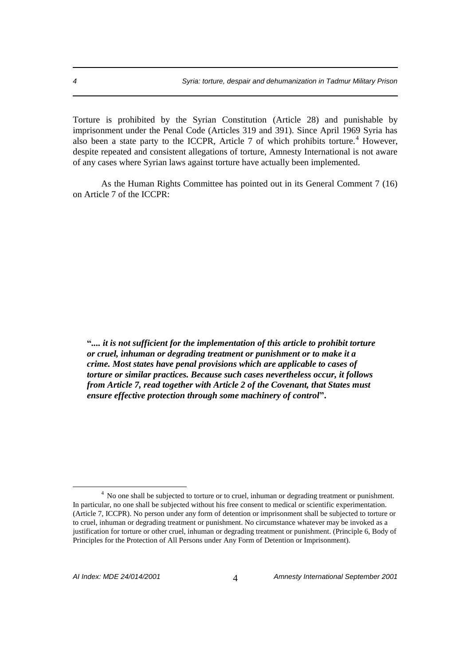Torture is prohibited by the Syrian Constitution (Article 28) and punishable by imprisonment under the Penal Code (Articles 319 and 391). Since April 1969 Syria has also been a state party to the ICCPR, Article 7 of which prohibits torture.<sup>4</sup> However, despite repeated and consistent allegations of torture, Amnesty International is not aware of any cases where Syrian laws against torture have actually been implemented.

As the Human Rights Committee has pointed out in its General Comment 7 (16) on Article 7 of the ICCPR:

**"***.... it is not sufficient for the implementation of this article to prohibit torture or cruel, inhuman or degrading treatment or punishment or to make it a crime. Most states have penal provisions which are applicable to cases of torture or similar practices. Because such cases nevertheless occur, it follows from Article 7, read together with Article 2 of the Covenant, that States must ensure effective protection through some machinery of control***".**

<sup>&</sup>lt;sup>4</sup> No one shall be subjected to torture or to cruel, inhuman or degrading treatment or punishment. In particular, no one shall be subjected without his free consent to medical or scientific experimentation. (Article 7, ICCPR). No person under any form of detention or imprisonment shall be subjected to torture or to cruel, inhuman or degrading treatment or punishment. No circumstance whatever may be invoked as a justification for torture or other cruel, inhuman or degrading treatment or punishment. (Principle 6, Body of Principles for the Protection of All Persons under Any Form of Detention or Imprisonment).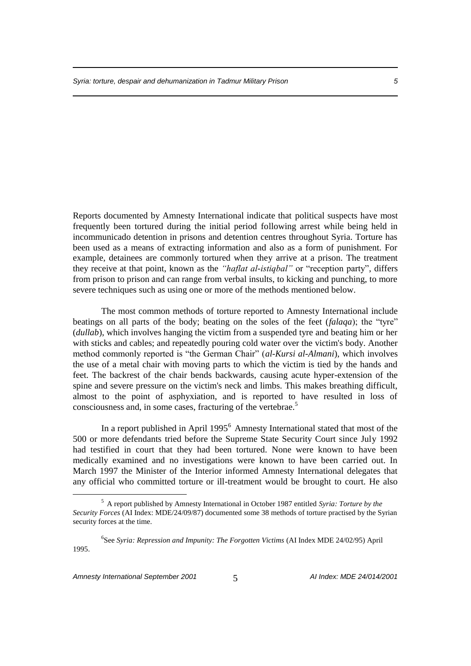Reports documented by Amnesty International indicate that political suspects have most frequently been tortured during the initial period following arrest while being held in incommunicado detention in prisons and detention centres throughout Syria. Torture has been used as a means of extracting information and also as a form of punishment. For example, detainees are commonly tortured when they arrive at a prison. The treatment they receive at that point, known as the *"haflat al-istiqbal"* or "reception party", differs from prison to prison and can range from verbal insults, to kicking and punching, to more severe techniques such as using one or more of the methods mentioned below.

The most common methods of torture reported to Amnesty International include beatings on all parts of the body; beating on the soles of the feet (*falaqa*); the "tyre" (*dullab*), which involves hanging the victim from a suspended tyre and beating him or her with sticks and cables; and repeatedly pouring cold water over the victim's body. Another method commonly reported is "the German Chair" (*al-Kursi al-Almani*), which involves the use of a metal chair with moving parts to which the victim is tied by the hands and feet. The backrest of the chair bends backwards, causing acute hyper-extension of the spine and severe pressure on the victim's neck and limbs. This makes breathing difficult, almost to the point of asphyxiation, and is reported to have resulted in loss of consciousness and, in some cases, fracturing of the vertebrae.<sup>5</sup>

In a report published in April 1995<sup>6</sup> Amnesty International stated that most of the 500 or more defendants tried before the Supreme State Security Court since July 1992 had testified in court that they had been tortured. None were known to have been medically examined and no investigations were known to have been carried out. In March 1997 the Minister of the Interior informed Amnesty International delegates that any official who committed torture or ill-treatment would be brought to court. He also

<sup>5</sup> A report published by Amnesty International in October 1987 entitled *Syria: Torture by the Security Forces* (AI Index: MDE/24/09/87) documented some 38 methods of torture practised by the Syrian security forces at the time.

<sup>6</sup> See *Syria: Repression and Impunity: The Forgotten Victims* (AI Index MDE 24/02/95) April 1995.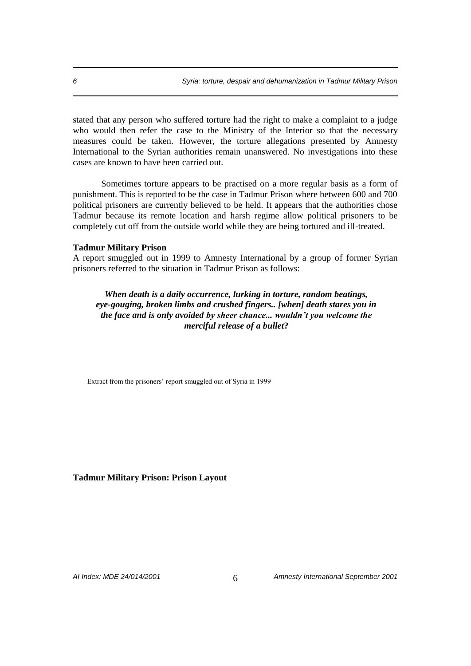stated that any person who suffered torture had the right to make a complaint to a judge who would then refer the case to the Ministry of the Interior so that the necessary measures could be taken. However, the torture allegations presented by Amnesty International to the Syrian authorities remain unanswered. No investigations into these cases are known to have been carried out.

Sometimes torture appears to be practised on a more regular basis as a form of punishment. This is reported to be the case in Tadmur Prison where between 600 and 700 political prisoners are currently believed to be held. It appears that the authorities chose Tadmur because its remote location and harsh regime allow political prisoners to be completely cut off from the outside world while they are being tortured and ill-treated.

#### **Tadmur Military Prison**

A report smuggled out in 1999 to Amnesty International by a group of former Syrian prisoners referred to the situation in Tadmur Prison as follows:

*When death is a daily occurrence, lurking in torture, random beatings, eye-gouging, broken limbs and crushed fingers.. [when] death stares you in the face and is only avoided by sheer chance... wouldn't you welcome the merciful release of a bullet***?**

Extract from the prisoners' report smuggled out of Syria in 1999

#### **Tadmur Military Prison: Prison Layout**

*AI Index: MDE 24/014/2001* 6 *Amnesty International September 2001*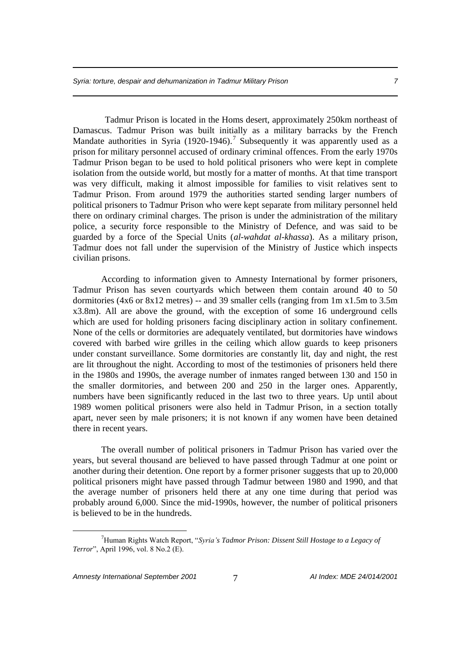Tadmur Prison is located in the Homs desert, approximately 250km northeast of Damascus. Tadmur Prison was built initially as a military barracks by the French Mandate authorities in Syria  $(1920-1946)$ .<sup>7</sup> Subsequently it was apparently used as a prison for military personnel accused of ordinary criminal offences. From the early 1970s Tadmur Prison began to be used to hold political prisoners who were kept in complete isolation from the outside world, but mostly for a matter of months. At that time transport was very difficult, making it almost impossible for families to visit relatives sent to Tadmur Prison. From around 1979 the authorities started sending larger numbers of political prisoners to Tadmur Prison who were kept separate from military personnel held there on ordinary criminal charges. The prison is under the administration of the military police, a security force responsible to the Ministry of Defence, and was said to be guarded by a force of the Special Units (*al-wahdat al-khassa*). As a military prison, Tadmur does not fall under the supervision of the Ministry of Justice which inspects civilian prisons.

According to information given to Amnesty International by former prisoners, Tadmur Prison has seven courtyards which between them contain around 40 to 50 dormitories (4x6 or 8x12 metres) -- and 39 smaller cells (ranging from 1m x1.5m to 3.5m x3.8m). All are above the ground, with the exception of some 16 underground cells which are used for holding prisoners facing disciplinary action in solitary confinement. None of the cells or dormitories are adequately ventilated, but dormitories have windows covered with barbed wire grilles in the ceiling which allow guards to keep prisoners under constant surveillance. Some dormitories are constantly lit, day and night, the rest are lit throughout the night. According to most of the testimonies of prisoners held there in the 1980s and 1990s, the average number of inmates ranged between 130 and 150 in the smaller dormitories, and between 200 and 250 in the larger ones. Apparently, numbers have been significantly reduced in the last two to three years. Up until about 1989 women political prisoners were also held in Tadmur Prison, in a section totally apart, never seen by male prisoners; it is not known if any women have been detained there in recent years.

The overall number of political prisoners in Tadmur Prison has varied over the years, but several thousand are believed to have passed through Tadmur at one point or another during their detention. One report by a former prisoner suggests that up to 20,000 political prisoners might have passed through Tadmur between 1980 and 1990, and that the average number of prisoners held there at any one time during that period was probably around 6,000. Since the mid-1990s, however, the number of political prisoners is believed to be in the hundreds.

<sup>7</sup>Human Rights Watch Report, "*Syria's Tadmor Prison: Dissent Still Hostage to a Legacy of Terror*", April 1996, vol. 8 No.2 (E).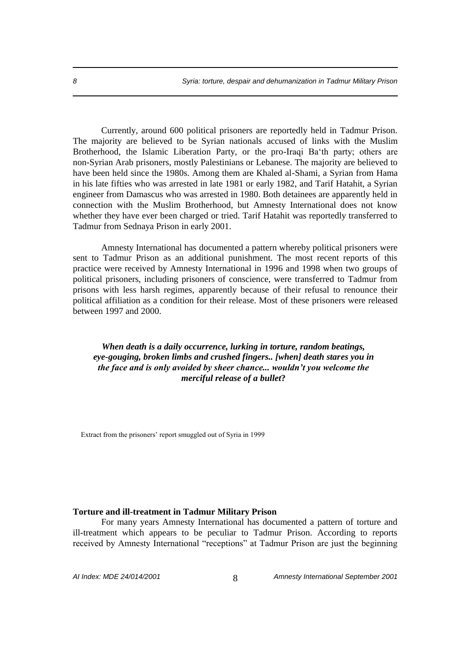Currently, around 600 political prisoners are reportedly held in Tadmur Prison. The majority are believed to be Syrian nationals accused of links with the Muslim Brotherhood, the Islamic Liberation Party, or the pro-Iraqi Ba'th party; others are non-Syrian Arab prisoners, mostly Palestinians or Lebanese. The majority are believed to have been held since the 1980s. Among them are Khaled al-Shami, a Syrian from Hama in his late fifties who was arrested in late 1981 or early 1982, and Tarif Hatahit, a Syrian engineer from Damascus who was arrested in 1980. Both detainees are apparently held in connection with the Muslim Brotherhood, but Amnesty International does not know whether they have ever been charged or tried. Tarif Hatahit was reportedly transferred to Tadmur from Sednaya Prison in early 2001.

Amnesty International has documented a pattern whereby political prisoners were sent to Tadmur Prison as an additional punishment. The most recent reports of this practice were received by Amnesty International in 1996 and 1998 when two groups of political prisoners, including prisoners of conscience, were transferred to Tadmur from prisons with less harsh regimes, apparently because of their refusal to renounce their political affiliation as a condition for their release. Most of these prisoners were released between 1997 and 2000.

*When death is a daily occurrence, lurking in torture, random beatings, eye-gouging, broken limbs and crushed fingers.. [when] death stares you in the face and is only avoided by sheer chance... wouldn't you welcome the merciful release of a bullet***?**

Extract from the prisoners' report smuggled out of Syria in 1999

#### **Torture and ill-treatment in Tadmur Military Prison**

For many years Amnesty International has documented a pattern of torture and ill-treatment which appears to be peculiar to Tadmur Prison. According to reports received by Amnesty International "receptions" at Tadmur Prison are just the beginning

*AI Index: MDE 24/014/2001* 8 *Amnesty International September 2001*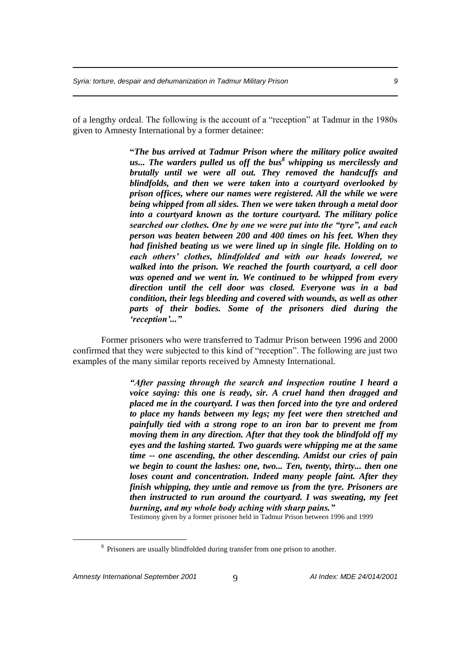of a lengthy ordeal. The following is the account of a "reception" at Tadmur in the 1980s given to Amnesty International by a former detainee:

> **"***The bus arrived at Tadmur Prison where the military police awaited us... The warders pulled us off the bus<sup>8</sup> whipping us mercilessly and brutally until we were all out. They removed the handcuffs and blindfolds, and then we were taken into a courtyard overlooked by prison offices, where our names were registered. All the while we were being whipped from all sides. Then we were taken through a metal door into a courtyard known as the torture courtyard. The military police searched our clothes. One by one we were put into the "tyre", and each person was beaten between 200 and 400 times on his feet. When they had finished beating us we were lined up in single file. Holding on to each others' clothes, blindfolded and with our heads lowered, we walked into the prison. We reached the fourth courtyard, a cell door was opened and we went in. We continued to be whipped from every direction until the cell door was closed. Everyone was in a bad condition, their legs bleeding and covered with wounds, as well as other parts of their bodies. Some of the prisoners died during the 'reception'..."*

Former prisoners who were transferred to Tadmur Prison between 1996 and 2000 confirmed that they were subjected to this kind of "reception". The following are just two examples of the many similar reports received by Amnesty International.

> *"After passing through the search and inspection routine I heard a voice saying: this one is ready, sir. A cruel hand then dragged and placed me in the courtyard. I was then forced into the tyre and ordered to place my hands between my legs; my feet were then stretched and painfully tied with a strong rope to an iron bar to prevent me from moving them in any direction. After that they took the blindfold off my eyes and the lashing started. Two guards were whipping me at the same time -- one ascending, the other descending. Amidst our cries of pain we begin to count the lashes: one, two... Ten, twenty, thirty... then one loses count and concentration. Indeed many people faint. After they finish whipping, they untie and remove us from the tyre. Prisoners are then instructed to run around the courtyard. I was sweating, my feet burning, and my whole body aching with sharp pains."*

Testimony given by a former prisoner held in Tadmur Prison between 1996 and 1999

<sup>&</sup>lt;sup>8</sup> Prisoners are usually blindfolded during transfer from one prison to another.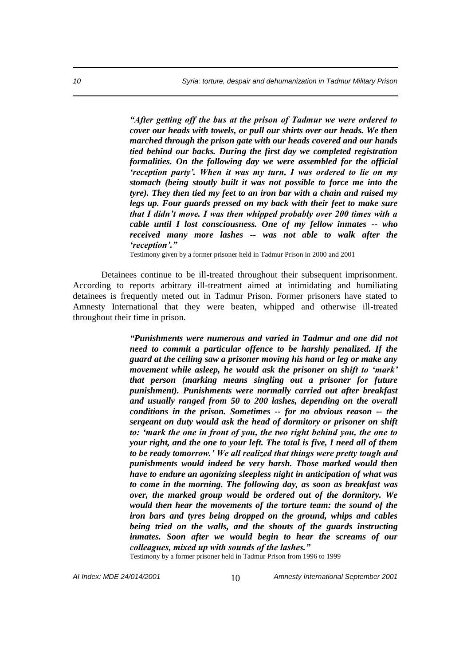*"After getting off the bus at the prison of Tadmur we were ordered to cover our heads with towels, or pull our shirts over our heads. We then marched through the prison gate with our heads covered and our hands tied behind our backs. During the first day we completed registration formalities. On the following day we were assembled for the official 'reception party'. When it was my turn, I was ordered to lie on my stomach (being stoutly built it was not possible to force me into the tyre). They then tied my feet to an iron bar with a chain and raised my legs up. Four guards pressed on my back with their feet to make sure that I didn't move. I was then whipped probably over 200 times with a cable until I lost consciousness. One of my fellow inmates -- who received many more lashes -- was not able to walk after the 'reception'."*

Testimony given by a former prisoner held in Tadmur Prison in 2000 and 2001

Detainees continue to be ill-treated throughout their subsequent imprisonment. According to reports arbitrary ill-treatment aimed at intimidating and humiliating detainees is frequently meted out in Tadmur Prison. Former prisoners have stated to Amnesty International that they were beaten, whipped and otherwise ill-treated throughout their time in prison.

> *"Punishments were numerous and varied in Tadmur and one did not need to commit a particular offence to be harshly penalized. If the guard at the ceiling saw a prisoner moving his hand or leg or make any movement while asleep, he would ask the prisoner on shift to 'mark' that person (marking means singling out a prisoner for future punishment). Punishments were normally carried out after breakfast and usually ranged from 50 to 200 lashes, depending on the overall conditions in the prison. Sometimes -- for no obvious reason -- the sergeant on duty would ask the head of dormitory or prisoner on shift to: 'mark the one in front of you, the two right behind you, the one to your right, and the one to your left. The total is five, I need all of them to be ready tomorrow.' We all realized that things were pretty tough and punishments would indeed be very harsh. Those marked would then have to endure an agonizing sleepless night in anticipation of what was to come in the morning. The following day, as soon as breakfast was over, the marked group would be ordered out of the dormitory. We would then hear the movements of the torture team: the sound of the iron bars and tyres being dropped on the ground, whips and cables being tried on the walls, and the shouts of the guards instructing inmates. Soon after we would begin to hear the screams of our colleagues, mixed up with sounds of the lashes."* Testimony by a former prisoner held in Tadmur Prison from 1996 to 1999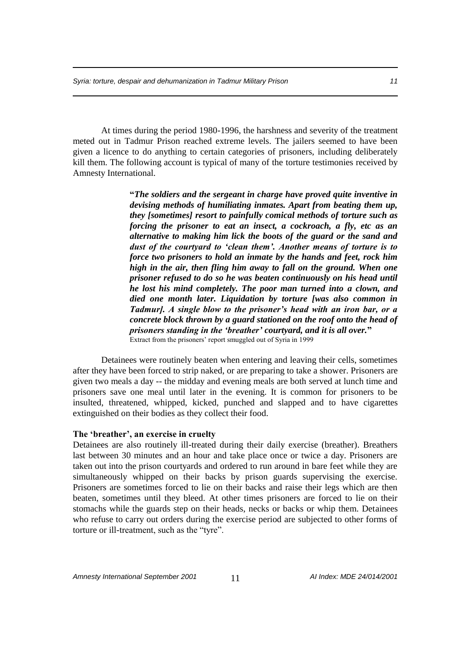At times during the period 1980-1996, the harshness and severity of the treatment meted out in Tadmur Prison reached extreme levels. The jailers seemed to have been given a licence to do anything to certain categories of prisoners, including deliberately kill them. The following account is typical of many of the torture testimonies received by Amnesty International.

> **"***The soldiers and the sergeant in charge have proved quite inventive in devising methods of humiliating inmates. Apart from beating them up, they [sometimes] resort to painfully comical methods of torture such as forcing the prisoner to eat an insect, a cockroach, a fly, etc as an alternative to making him lick the boots of the guard or the sand and dust of the courtyard to 'clean them'. Another means of torture is to force two prisoners to hold an inmate by the hands and feet, rock him high in the air, then fling him away to fall on the ground. When one prisoner refused to do so he was beaten continuously on his head until he lost his mind completely. The poor man turned into a clown, and died one month later. Liquidation by torture [was also common in Tadmur]. A single blow to the prisoner's head with an iron bar, or a concrete block thrown by a guard stationed on the roof onto the head of prisoners standing in the 'breather' courtyard, and it is all over.***"**  Extract from the prisoners' report smuggled out of Syria in 1999

Detainees were routinely beaten when entering and leaving their cells, sometimes after they have been forced to strip naked, or are preparing to take a shower. Prisoners are given two meals a day -- the midday and evening meals are both served at lunch time and prisoners save one meal until later in the evening. It is common for prisoners to be insulted, threatened, whipped, kicked, punched and slapped and to have cigarettes extinguished on their bodies as they collect their food.

#### **The 'breather', an exercise in cruelty**

Detainees are also routinely ill-treated during their daily exercise (breather). Breathers last between 30 minutes and an hour and take place once or twice a day. Prisoners are taken out into the prison courtyards and ordered to run around in bare feet while they are simultaneously whipped on their backs by prison guards supervising the exercise. Prisoners are sometimes forced to lie on their backs and raise their legs which are then beaten, sometimes until they bleed. At other times prisoners are forced to lie on their stomachs while the guards step on their heads, necks or backs or whip them. Detainees who refuse to carry out orders during the exercise period are subjected to other forms of torture or ill-treatment, such as the "tyre".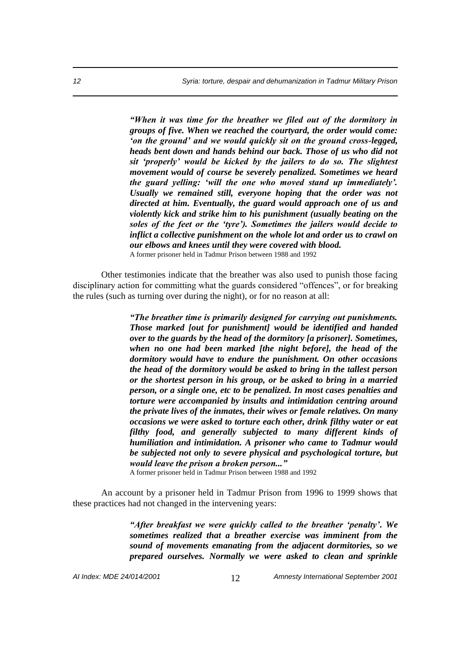*"When it was time for the breather we filed out of the dormitory in groups of five. When we reached the courtyard, the order would come: 'on the ground' and we would quickly sit on the ground cross-legged, heads bent down and hands behind our back. Those of us who did not sit 'properly' would be kicked by the jailers to do so. The slightest movement would of course be severely penalized. Sometimes we heard the guard yelling: 'will the one who moved stand up immediately'. Usually we remained still, everyone hoping that the order was not directed at him. Eventually, the guard would approach one of us and violently kick and strike him to his punishment (usually beating on the soles of the feet or the 'tyre'). Sometimes the jailers would decide to inflict a collective punishment on the whole lot and order us to crawl on our elbows and knees until they were covered with blood.* A former prisoner held in Tadmur Prison between 1988 and 1992

Other testimonies indicate that the breather was also used to punish those facing disciplinary action for committing what the guards considered "offences", or for breaking the rules (such as turning over during the night), or for no reason at all:

> *"The breather time is primarily designed for carrying out punishments. Those marked [out for punishment] would be identified and handed over to the guards by the head of the dormitory [a prisoner]. Sometimes, when no one had been marked [the night before], the head of the dormitory would have to endure the punishment. On other occasions the head of the dormitory would be asked to bring in the tallest person or the shortest person in his group, or be asked to bring in a married person, or a single one, etc to be penalized. In most cases penalties and torture were accompanied by insults and intimidation centring around the private lives of the inmates, their wives or female relatives. On many occasions we were asked to torture each other, drink filthy water or eat filthy food, and generally subjected to many different kinds of humiliation and intimidation. A prisoner who came to Tadmur would be subjected not only to severe physical and psychological torture, but would leave the prison a broken person..."*

A former prisoner held in Tadmur Prison between 1988 and 1992

An account by a prisoner held in Tadmur Prison from 1996 to 1999 shows that these practices had not changed in the intervening years:

> *"After breakfast we were quickly called to the breather 'penalty'. We sometimes realized that a breather exercise was imminent from the sound of movements emanating from the adjacent dormitories, so we prepared ourselves. Normally we were asked to clean and sprinkle*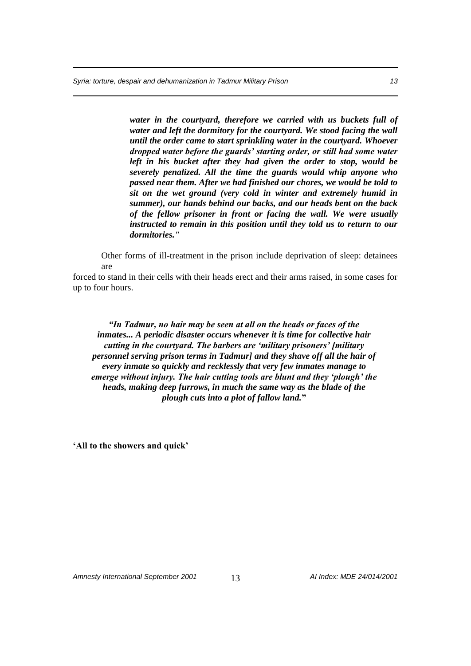*water in the courtyard, therefore we carried with us buckets full of water and left the dormitory for the courtyard. We stood facing the wall until the order came to start sprinkling water in the courtyard. Whoever dropped water before the guards' starting order, or still had some water left in his bucket after they had given the order to stop, would be severely penalized. All the time the guards would whip anyone who passed near them. After we had finished our chores, we would be told to sit on the wet ground (very cold in winter and extremely humid in summer), our hands behind our backs, and our heads bent on the back of the fellow prisoner in front or facing the wall. We were usually instructed to remain in this position until they told us to return to our dormitories."* 

Other forms of ill-treatment in the prison include deprivation of sleep: detainees are

forced to stand in their cells with their heads erect and their arms raised, in some cases for up to four hours.

*"In Tadmur, no hair may be seen at all on the heads or faces of the inmates... A periodic disaster occurs whenever it is time for collective hair cutting in the courtyard. The barbers are 'military prisoners' [military personnel serving prison terms in Tadmur] and they shave off all the hair of every inmate so quickly and recklessly that very few inmates manage to emerge without injury. The hair cutting tools are blunt and they 'plough' the heads, making deep furrows, in much the same way as the blade of the plough cuts into a plot of fallow land.***"**

**'All to the showers and quick'**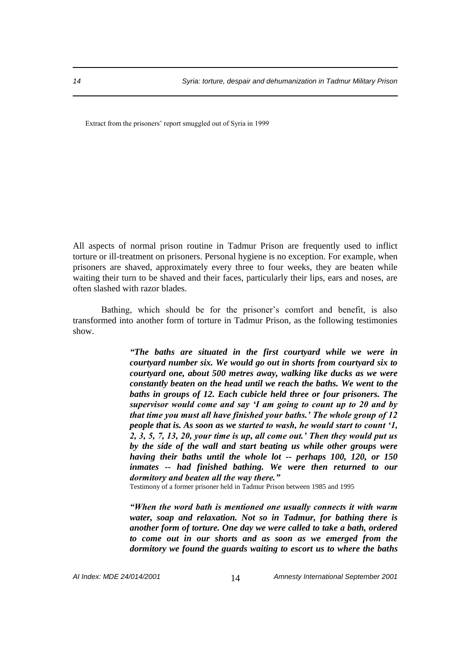Extract from the prisoners' report smuggled out of Syria in 1999

All aspects of normal prison routine in Tadmur Prison are frequently used to inflict torture or ill-treatment on prisoners. Personal hygiene is no exception. For example, when prisoners are shaved, approximately every three to four weeks, they are beaten while waiting their turn to be shaved and their faces, particularly their lips, ears and noses, are often slashed with razor blades.

Bathing, which should be for the prisoner's comfort and benefit, is also transformed into another form of torture in Tadmur Prison, as the following testimonies show.

> *"The baths are situated in the first courtyard while we were in courtyard number six. We would go out in shorts from courtyard six to courtyard one, about 500 metres away, walking like ducks as we were constantly beaten on the head until we reach the baths. We went to the baths in groups of 12. Each cubicle held three or four prisoners. The supervisor would come and say 'I am going to count up to 20 and by that time you must all have finished your baths.' The whole group of 12 people that is. As soon as we started to wash, he would start to count '1, 2, 3, 5, 7, 13, 20, your time is up, all come out.' Then they would put us by the side of the wall and start beating us while other groups were having their baths until the whole lot -- perhaps 100, 120, or 150 inmates -- had finished bathing. We were then returned to our dormitory and beaten all the way there."*

Testimony of a former prisoner held in Tadmur Prison between 1985 and 1995

*"When the word bath is mentioned one usually connects it with warm water, soap and relaxation. Not so in Tadmur, for bathing there is another form of torture. One day we were called to take a bath, ordered to come out in our shorts and as soon as we emerged from the dormitory we found the guards waiting to escort us to where the baths*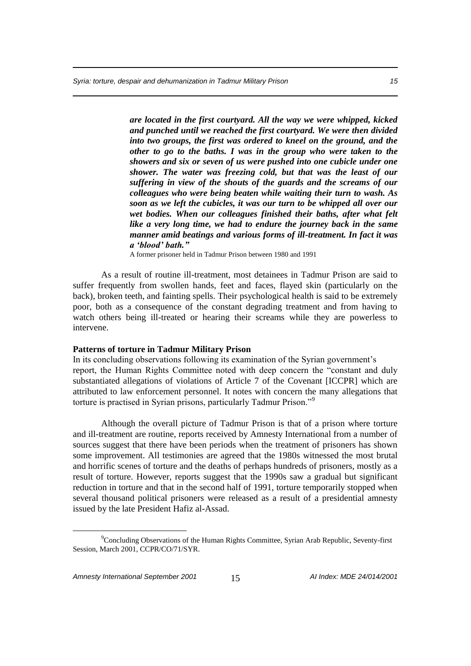*are located in the first courtyard. All the way we were whipped, kicked and punched until we reached the first courtyard. We were then divided into two groups, the first was ordered to kneel on the ground, and the other to go to the baths. I was in the group who were taken to the showers and six or seven of us were pushed into one cubicle under one shower. The water was freezing cold, but that was the least of our suffering in view of the shouts of the guards and the screams of our colleagues who were being beaten while waiting their turn to wash. As soon as we left the cubicles, it was our turn to be whipped all over our wet bodies. When our colleagues finished their baths, after what felt like a very long time, we had to endure the journey back in the same manner amid beatings and various forms of ill-treatment. In fact it was a 'blood' bath."*

A former prisoner held in Tadmur Prison between 1980 and 1991

As a result of routine ill-treatment, most detainees in Tadmur Prison are said to suffer frequently from swollen hands, feet and faces, flayed skin (particularly on the back), broken teeth, and fainting spells. Their psychological health is said to be extremely poor, both as a consequence of the constant degrading treatment and from having to watch others being ill-treated or hearing their screams while they are powerless to intervene.

#### **Patterns of torture in Tadmur Military Prison**

In its concluding observations following its examination of the Syrian government's report, the Human Rights Committee noted with deep concern the "constant and duly substantiated allegations of violations of Article 7 of the Covenant [ICCPR] which are attributed to law enforcement personnel. It notes with concern the many allegations that torture is practised in Syrian prisons, particularly Tadmur Prison."<sup>9</sup>

Although the overall picture of Tadmur Prison is that of a prison where torture and ill-treatment are routine, reports received by Amnesty International from a number of sources suggest that there have been periods when the treatment of prisoners has shown some improvement. All testimonies are agreed that the 1980s witnessed the most brutal and horrific scenes of torture and the deaths of perhaps hundreds of prisoners, mostly as a result of torture. However, reports suggest that the 1990s saw a gradual but significant reduction in torture and that in the second half of 1991, torture temporarily stopped when several thousand political prisoners were released as a result of a presidential amnesty issued by the late President Hafiz al-Assad.

<sup>&</sup>lt;sup>9</sup>Concluding Observations of the Human Rights Committee, Syrian Arab Republic, Seventy-first Session, March 2001, CCPR/CO/71/SYR.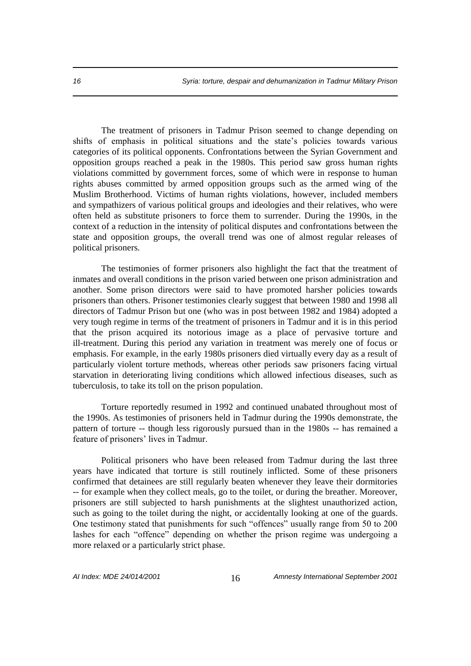The treatment of prisoners in Tadmur Prison seemed to change depending on shifts of emphasis in political situations and the state's policies towards various categories of its political opponents. Confrontations between the Syrian Government and opposition groups reached a peak in the 1980s. This period saw gross human rights violations committed by government forces, some of which were in response to human rights abuses committed by armed opposition groups such as the armed wing of the Muslim Brotherhood. Victims of human rights violations, however, included members and sympathizers of various political groups and ideologies and their relatives, who were often held as substitute prisoners to force them to surrender. During the 1990s, in the context of a reduction in the intensity of political disputes and confrontations between the state and opposition groups, the overall trend was one of almost regular releases of political prisoners.

The testimonies of former prisoners also highlight the fact that the treatment of inmates and overall conditions in the prison varied between one prison administration and another. Some prison directors were said to have promoted harsher policies towards prisoners than others. Prisoner testimonies clearly suggest that between 1980 and 1998 all directors of Tadmur Prison but one (who was in post between 1982 and 1984) adopted a very tough regime in terms of the treatment of prisoners in Tadmur and it is in this period that the prison acquired its notorious image as a place of pervasive torture and ill-treatment. During this period any variation in treatment was merely one of focus or emphasis. For example, in the early 1980s prisoners died virtually every day as a result of particularly violent torture methods, whereas other periods saw prisoners facing virtual starvation in deteriorating living conditions which allowed infectious diseases, such as tuberculosis, to take its toll on the prison population.

Torture reportedly resumed in 1992 and continued unabated throughout most of the 1990s. As testimonies of prisoners held in Tadmur during the 1990s demonstrate, the pattern of torture -- though less rigorously pursued than in the 1980s -- has remained a feature of prisoners' lives in Tadmur.

Political prisoners who have been released from Tadmur during the last three years have indicated that torture is still routinely inflicted. Some of these prisoners confirmed that detainees are still regularly beaten whenever they leave their dormitories -- for example when they collect meals, go to the toilet, or during the breather. Moreover, prisoners are still subjected to harsh punishments at the slightest unauthorized action, such as going to the toilet during the night, or accidentally looking at one of the guards. One testimony stated that punishments for such "offences" usually range from 50 to 200 lashes for each "offence" depending on whether the prison regime was undergoing a more relaxed or a particularly strict phase.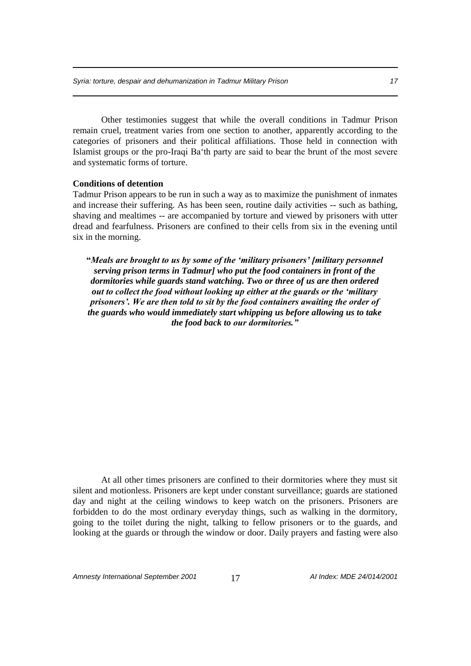Other testimonies suggest that while the overall conditions in Tadmur Prison remain cruel, treatment varies from one section to another, apparently according to the categories of prisoners and their political affiliations. Those held in connection with Islamist groups or the pro-Iraqi Ba'th party are said to bear the brunt of the most severe and systematic forms of torture.

#### **Conditions of detention**

Tadmur Prison appears to be run in such a way as to maximize the punishment of inmates and increase their suffering. As has been seen, routine daily activities -- such as bathing, shaving and mealtimes -- are accompanied by torture and viewed by prisoners with utter dread and fearfulness. Prisoners are confined to their cells from six in the evening until six in the morning.

**"***Meals are brought to us by some of the 'military prisoners' [military personnel serving prison terms in Tadmur] who put the food containers in front of the dormitories while guards stand watching. Two or three of us are then ordered out to collect the food without looking up either at the guards or the 'military prisoners'. We are then told to sit by the food containers awaiting the order of the guards who would immediately start whipping us before allowing us to take the food back to our dormitories."*

At all other times prisoners are confined to their dormitories where they must sit silent and motionless. Prisoners are kept under constant surveillance; guards are stationed day and night at the ceiling windows to keep watch on the prisoners. Prisoners are forbidden to do the most ordinary everyday things, such as walking in the dormitory, going to the toilet during the night, talking to fellow prisoners or to the guards, and looking at the guards or through the window or door. Daily prayers and fasting were also

*Amnesty International September 2001* 17 *AI Index: MDE 24/014/2001*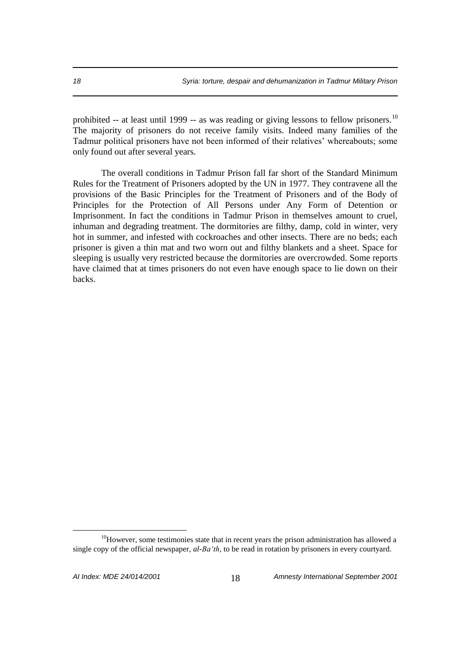prohibited -- at least until 1999 -- as was reading or giving lessons to fellow prisoners.<sup>10</sup> The majority of prisoners do not receive family visits. Indeed many families of the Tadmur political prisoners have not been informed of their relatives' whereabouts; some only found out after several years.

The overall conditions in Tadmur Prison fall far short of the Standard Minimum Rules for the Treatment of Prisoners adopted by the UN in 1977. They contravene all the provisions of the Basic Principles for the Treatment of Prisoners and of the Body of Principles for the Protection of All Persons under Any Form of Detention or Imprisonment. In fact the conditions in Tadmur Prison in themselves amount to cruel, inhuman and degrading treatment. The dormitories are filthy, damp, cold in winter, very hot in summer, and infested with cockroaches and other insects. There are no beds; each prisoner is given a thin mat and two worn out and filthy blankets and a sheet. Space for sleeping is usually very restricted because the dormitories are overcrowded. Some reports have claimed that at times prisoners do not even have enough space to lie down on their backs.

 $10$ However, some testimonies state that in recent years the prison administration has allowed a single copy of the official newspaper, *al-Ba'th*, to be read in rotation by prisoners in every courtyard.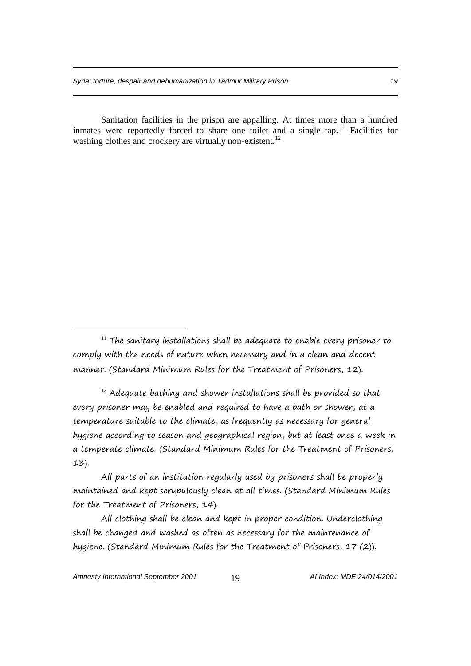Sanitation facilities in the prison are appalling. At times more than a hundred inmates were reportedly forced to share one toilet and a single tap.  $11$  Facilities for washing clothes and crockery are virtually non-existent.<sup>12</sup>

 $12$  Adequate bathing and shower installations shall be provided so that every prisoner may be enabled and required to have a bath or shower, at a temperature suitable to the climate, as frequently as necessary for general hygiene according to season and geographical region, but at least once a week in a temperate climate. (Standard Minimum Rules for the Treatment of Prisoners, 13).

All parts of an institution regularly used by prisoners shall be properly maintained and kept scrupulously clean at all times. (Standard Minimum Rules for the Treatment of Prisoners, 14).

All clothing shall be clean and kept in proper condition. Underclothing shall be changed and washed as often as necessary for the maintenance of hygiene. (Standard Minimum Rules for the Treatment of Prisoners, 17 (2)).

 $11$  The sanitary installations shall be adequate to enable every prisoner to comply with the needs of nature when necessary and in a clean and decent manner. (Standard Minimum Rules for the Treatment of Prisoners, 12).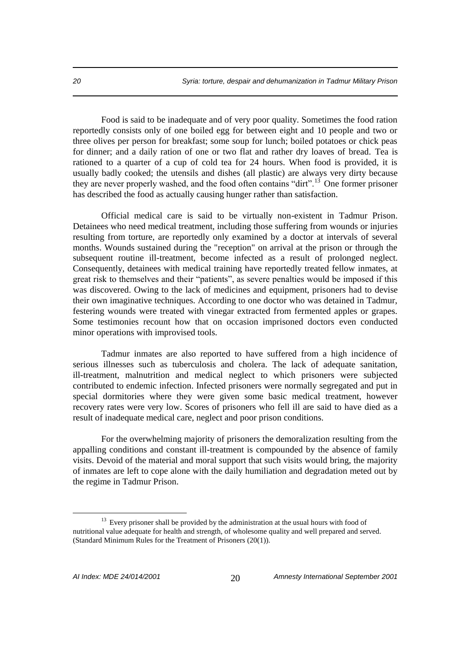Food is said to be inadequate and of very poor quality. Sometimes the food ration reportedly consists only of one boiled egg for between eight and 10 people and two or three olives per person for breakfast; some soup for lunch; boiled potatoes or chick peas for dinner; and a daily ration of one or two flat and rather dry loaves of bread. Tea is rationed to a quarter of a cup of cold tea for 24 hours. When food is provided, it is usually badly cooked; the utensils and dishes (all plastic) are always very dirty because they are never properly washed, and the food often contains "dirt".<sup>13</sup> One former prisoner has described the food as actually causing hunger rather than satisfaction.

Official medical care is said to be virtually non-existent in Tadmur Prison. Detainees who need medical treatment, including those suffering from wounds or injuries resulting from torture, are reportedly only examined by a doctor at intervals of several months. Wounds sustained during the "reception" on arrival at the prison or through the subsequent routine ill-treatment, become infected as a result of prolonged neglect. Consequently, detainees with medical training have reportedly treated fellow inmates, at great risk to themselves and their "patients", as severe penalties would be imposed if this was discovered. Owing to the lack of medicines and equipment, prisoners had to devise their own imaginative techniques. According to one doctor who was detained in Tadmur, festering wounds were treated with vinegar extracted from fermented apples or grapes. Some testimonies recount how that on occasion imprisoned doctors even conducted minor operations with improvised tools.

Tadmur inmates are also reported to have suffered from a high incidence of serious illnesses such as tuberculosis and cholera. The lack of adequate sanitation, ill-treatment, malnutrition and medical neglect to which prisoners were subjected contributed to endemic infection. Infected prisoners were normally segregated and put in special dormitories where they were given some basic medical treatment, however recovery rates were very low. Scores of prisoners who fell ill are said to have died as a result of inadequate medical care, neglect and poor prison conditions.

For the overwhelming majority of prisoners the demoralization resulting from the appalling conditions and constant ill-treatment is compounded by the absence of family visits. Devoid of the material and moral support that such visits would bring, the majority of inmates are left to cope alone with the daily humiliation and degradation meted out by the regime in Tadmur Prison.

<sup>&</sup>lt;sup>13</sup> Every prisoner shall be provided by the administration at the usual hours with food of nutritional value adequate for health and strength, of wholesome quality and well prepared and served. (Standard Minimum Rules for the Treatment of Prisoners (20(1)).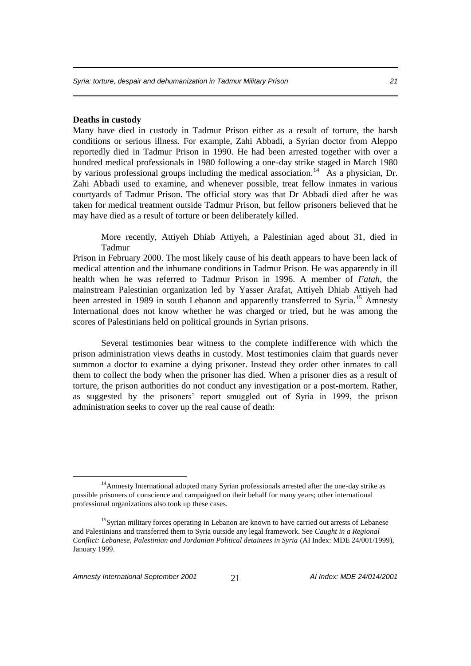# **Deaths in custody**

Many have died in custody in Tadmur Prison either as a result of torture, the harsh conditions or serious illness. For example, Zahi Abbadi, a Syrian doctor from Aleppo reportedly died in Tadmur Prison in 1990. He had been arrested together with over a hundred medical professionals in 1980 following a one-day strike staged in March 1980 by various professional groups including the medical association.<sup>14</sup> As a physician, Dr. Zahi Abbadi used to examine, and whenever possible, treat fellow inmates in various courtyards of Tadmur Prison. The official story was that Dr Abbadi died after he was taken for medical treatment outside Tadmur Prison, but fellow prisoners believed that he may have died as a result of torture or been deliberately killed.

More recently, Attiyeh Dhiab Attiyeh, a Palestinian aged about 31, died in Tadmur

Prison in February 2000. The most likely cause of his death appears to have been lack of medical attention and the inhumane conditions in Tadmur Prison. He was apparently in ill health when he was referred to Tadmur Prison in 1996. A member of *Fatah*, the mainstream Palestinian organization led by Yasser Arafat, Attiyeh Dhiab Attiyeh had been arrested in 1989 in south Lebanon and apparently transferred to Syria.<sup>15</sup> Amnesty International does not know whether he was charged or tried, but he was among the scores of Palestinians held on political grounds in Syrian prisons.

Several testimonies bear witness to the complete indifference with which the prison administration views deaths in custody. Most testimonies claim that guards never summon a doctor to examine a dying prisoner. Instead they order other inmates to call them to collect the body when the prisoner has died. When a prisoner dies as a result of torture, the prison authorities do not conduct any investigation or a post-mortem. Rather, as suggested by the prisoners' report smuggled out of Syria in 1999, the prison administration seeks to cover up the real cause of death:

<sup>&</sup>lt;sup>14</sup>Amnesty International adopted many Syrian professionals arrested after the one-day strike as possible prisoners of conscience and campaigned on their behalf for many years; other international professional organizations also took up these cases.

<sup>&</sup>lt;sup>15</sup>Syrian military forces operating in Lebanon are known to have carried out arrests of Lebanese and Palestinians and transferred them to Syria outside any legal framework. See *Caught in a Regional Conflict: Lebanese, Palestinian and Jordanian Political detainees in Syria* (AI Index: MDE 24/001/1999), January 1999.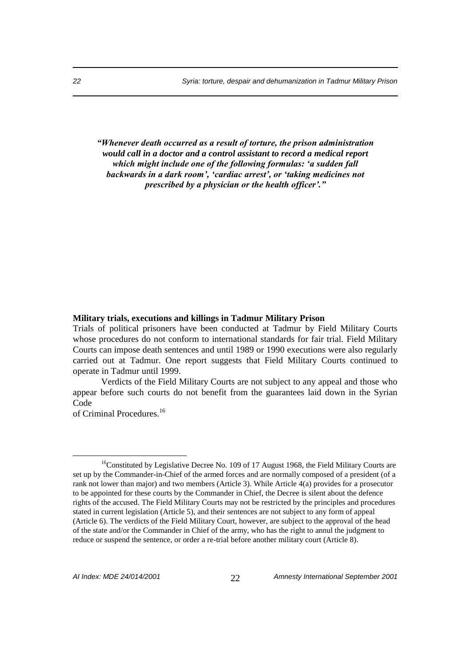*"Whenever death occurred as a result of torture, the prison administration would call in a doctor and a control assistant to record a medical report which might include one of the following formulas: 'a sudden fall backwards in a dark room', 'cardiac arrest', or 'taking medicines not prescribed by a physician or the health officer'."*

# **Military trials, executions and killings in Tadmur Military Prison**

Trials of political prisoners have been conducted at Tadmur by Field Military Courts whose procedures do not conform to international standards for fair trial. Field Military Courts can impose death sentences and until 1989 or 1990 executions were also regularly carried out at Tadmur. One report suggests that Field Military Courts continued to operate in Tadmur until 1999.

Verdicts of the Field Military Courts are not subject to any appeal and those who appear before such courts do not benefit from the guarantees laid down in the Syrian Code

of Criminal Procedures<sup>16</sup>

<sup>&</sup>lt;sup>16</sup>Constituted by Legislative Decree No. 109 of 17 August 1968, the Field Military Courts are set up by the Commander-in-Chief of the armed forces and are normally composed of a president (of a rank not lower than major) and two members (Article 3). While Article 4(a) provides for a prosecutor to be appointed for these courts by the Commander in Chief, the Decree is silent about the defence rights of the accused. The Field Military Courts may not be restricted by the principles and procedures stated in current legislation (Article 5), and their sentences are not subject to any form of appeal (Article 6). The verdicts of the Field Military Court, however, are subject to the approval of the head of the state and/or the Commander in Chief of the army, who has the right to annul the judgment to reduce or suspend the sentence, or order a re-trial before another military court (Article 8).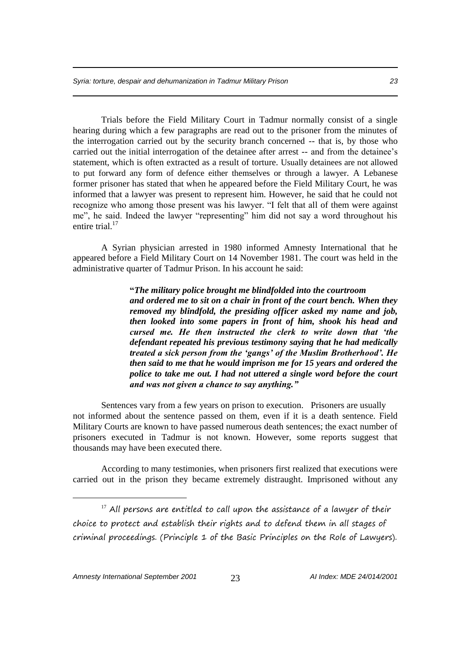Trials before the Field Military Court in Tadmur normally consist of a single hearing during which a few paragraphs are read out to the prisoner from the minutes of the interrogation carried out by the security branch concerned -- that is, by those who carried out the initial interrogation of the detainee after arrest -- and from the detainee's statement, which is often extracted as a result of torture. Usually detainees are not allowed to put forward any form of defence either themselves or through a lawyer. A Lebanese former prisoner has stated that when he appeared before the Field Military Court, he was informed that a lawyer was present to represent him. However, he said that he could not recognize who among those present was his lawyer. "I felt that all of them were against me", he said. Indeed the lawyer "representing" him did not say a word throughout his entire trial.<sup>17</sup>

A Syrian physician arrested in 1980 informed Amnesty International that he appeared before a Field Military Court on 14 November 1981. The court was held in the administrative quarter of Tadmur Prison. In his account he said:

> **"***The military police brought me blindfolded into the courtroom and ordered me to sit on a chair in front of the court bench. When they removed my blindfold, the presiding officer asked my name and job, then looked into some papers in front of him, shook his head and cursed me. He then instructed the clerk to write down that 'the defendant repeated his previous testimony saying that he had medically treated a sick person from the 'gangs' of the Muslim Brotherhood'. He then said to me that he would imprison me for 15 years and ordered the police to take me out. I had not uttered a single word before the court and was not given a chance to say anything."*

Sentences vary from a few years on prison to execution. Prisoners are usually not informed about the sentence passed on them, even if it is a death sentence. Field Military Courts are known to have passed numerous death sentences; the exact number of prisoners executed in Tadmur is not known. However, some reports suggest that thousands may have been executed there.

According to many testimonies, when prisoners first realized that executions were carried out in the prison they became extremely distraught. Imprisoned without any

 $17$  All persons are entitled to call upon the assistance of a lawyer of their choice to protect and establish their rights and to defend them in all stages of criminal proceedings. (Principle 1 of the Basic Principles on the Role of Lawyers).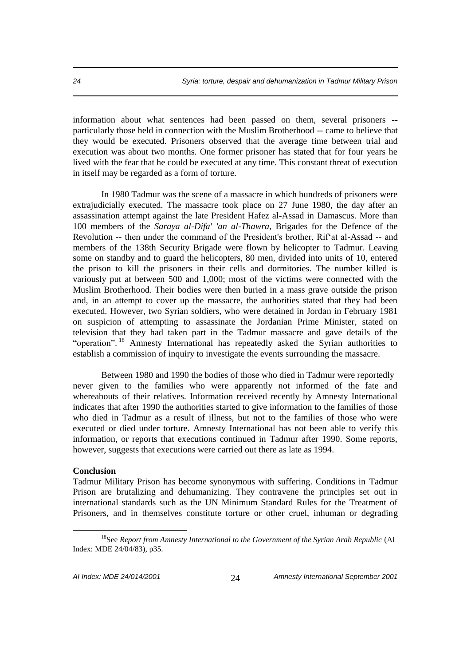information about what sentences had been passed on them, several prisoners - particularly those held in connection with the Muslim Brotherhood -- came to believe that they would be executed. Prisoners observed that the average time between trial and execution was about two months. One former prisoner has stated that for four years he lived with the fear that he could be executed at any time. This constant threat of execution in itself may be regarded as a form of torture.

In 1980 Tadmur was the scene of a massacre in which hundreds of prisoners were extrajudicially executed. The massacre took place on 27 June 1980, the day after an assassination attempt against the late President Hafez al-Assad in Damascus. More than 100 members of the *Saraya al-Difa' 'an al-Thawra*, Brigades for the Defence of the Revolution -- then under the command of the President's brother, Rif'at al-Assad -- and members of the 138th Security Brigade were flown by helicopter to Tadmur. Leaving some on standby and to guard the helicopters, 80 men, divided into units of 10, entered the prison to kill the prisoners in their cells and dormitories. The number killed is variously put at between 500 and 1,000; most of the victims were connected with the Muslim Brotherhood. Their bodies were then buried in a mass grave outside the prison and, in an attempt to cover up the massacre, the authorities stated that they had been executed. However, two Syrian soldiers, who were detained in Jordan in February 1981 on suspicion of attempting to assassinate the Jordanian Prime Minister, stated on television that they had taken part in the Tadmur massacre and gave details of the "operation". <sup>18</sup> Amnesty International has repeatedly asked the Syrian authorities to establish a commission of inquiry to investigate the events surrounding the massacre.

Between 1980 and 1990 the bodies of those who died in Tadmur were reportedly never given to the families who were apparently not informed of the fate and whereabouts of their relatives. Information received recently by Amnesty International indicates that after 1990 the authorities started to give information to the families of those who died in Tadmur as a result of illness, but not to the families of those who were executed or died under torture. Amnesty International has not been able to verify this information, or reports that executions continued in Tadmur after 1990. Some reports, however, suggests that executions were carried out there as late as 1994.

# **Conclusion**

 $\overline{a}$ 

Tadmur Military Prison has become synonymous with suffering. Conditions in Tadmur Prison are brutalizing and dehumanizing. They contravene the principles set out in international standards such as the UN Minimum Standard Rules for the Treatment of Prisoners, and in themselves constitute torture or other cruel, inhuman or degrading

<sup>&</sup>lt;sup>18</sup>See *Report from Amnesty International to the Government of the Syrian Arab Republic (AI* Index: MDE 24/04/83), p35.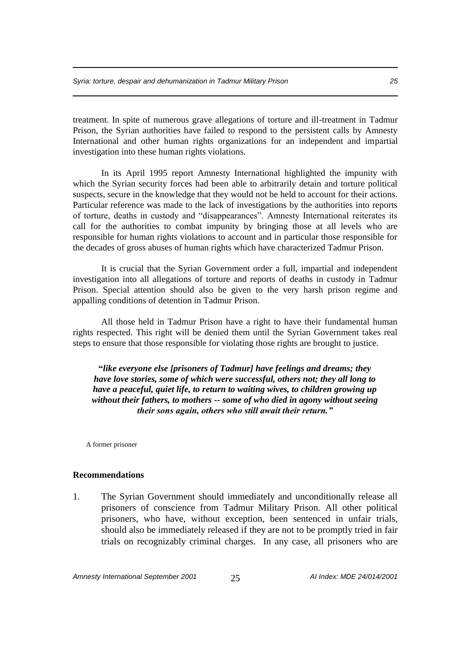treatment. In spite of numerous grave allegations of torture and ill-treatment in Tadmur Prison, the Syrian authorities have failed to respond to the persistent calls by Amnesty International and other human rights organizations for an independent and impartial investigation into these human rights violations.

In its April 1995 report Amnesty International highlighted the impunity with which the Syrian security forces had been able to arbitrarily detain and torture political suspects, secure in the knowledge that they would not be held to account for their actions. Particular reference was made to the lack of investigations by the authorities into reports of torture, deaths in custody and "disappearances". Amnesty International reiterates its call for the authorities to combat impunity by bringing those at all levels who are responsible for human rights violations to account and in particular those responsible for the decades of gross abuses of human rights which have characterized Tadmur Prison.

It is crucial that the Syrian Government order a full, impartial and independent investigation into all allegations of torture and reports of deaths in custody in Tadmur Prison. Special attention should also be given to the very harsh prison regime and appalling conditions of detention in Tadmur Prison.

All those held in Tadmur Prison have a right to have their fundamental human rights respected. This right will be denied them until the Syrian Government takes real steps to ensure that those responsible for violating those rights are brought to justice.

**"***like everyone else [prisoners of Tadmur] have feelings and dreams; they have love stories, some of which were successful, others not; they all long to have a peaceful, quiet life, to return to waiting wives, to children growing up without their fathers, to mothers -- some of who died in agony without seeing their sons again, others who still await their return."*

A former prisoner

#### **Recommendations**

1. The Syrian Government should immediately and unconditionally release all prisoners of conscience from Tadmur Military Prison. All other political prisoners, who have, without exception, been sentenced in unfair trials, should also be immediately released if they are not to be promptly tried in fair trials on recognizably criminal charges. In any case, all prisoners who are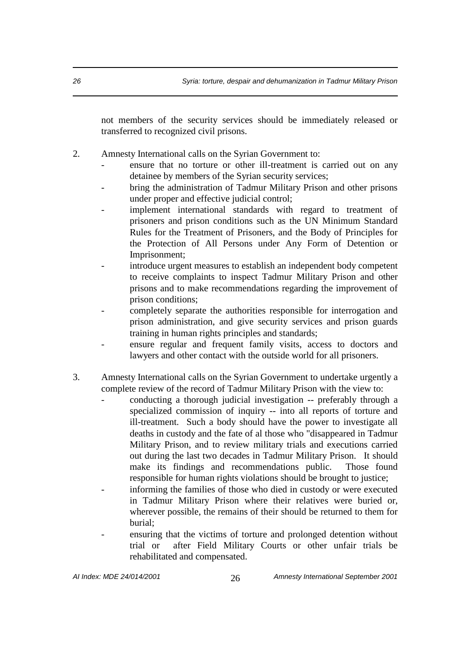not members of the security services should be immediately released or transferred to recognized civil prisons.

- 2. Amnesty International calls on the Syrian Government to:
	- ensure that no torture or other ill-treatment is carried out on any detainee by members of the Syrian security services;
	- bring the administration of Tadmur Military Prison and other prisons under proper and effective judicial control;
	- implement international standards with regard to treatment of prisoners and prison conditions such as the UN Minimum Standard Rules for the Treatment of Prisoners, and the Body of Principles for the Protection of All Persons under Any Form of Detention or Imprisonment;
	- introduce urgent measures to establish an independent body competent to receive complaints to inspect Tadmur Military Prison and other prisons and to make recommendations regarding the improvement of prison conditions;
	- completely separate the authorities responsible for interrogation and prison administration, and give security services and prison guards training in human rights principles and standards;
	- ensure regular and frequent family visits, access to doctors and lawyers and other contact with the outside world for all prisoners.
- 3. Amnesty International calls on the Syrian Government to undertake urgently a complete review of the record of Tadmur Military Prison with the view to:
	- conducting a thorough judicial investigation -- preferably through a specialized commission of inquiry -- into all reports of torture and ill-treatment. Such a body should have the power to investigate all deaths in custody and the fate of al those who "disappeared in Tadmur Military Prison, and to review military trials and executions carried out during the last two decades in Tadmur Military Prison. It should make its findings and recommendations public. Those found responsible for human rights violations should be brought to justice;
	- informing the families of those who died in custody or were executed in Tadmur Military Prison where their relatives were buried or, wherever possible, the remains of their should be returned to them for burial;
	- ensuring that the victims of torture and prolonged detention without trial or after Field Military Courts or other unfair trials be rehabilitated and compensated.

*AI Index: MDE 24/014/2001* 26 *Amnesty International September 2001*